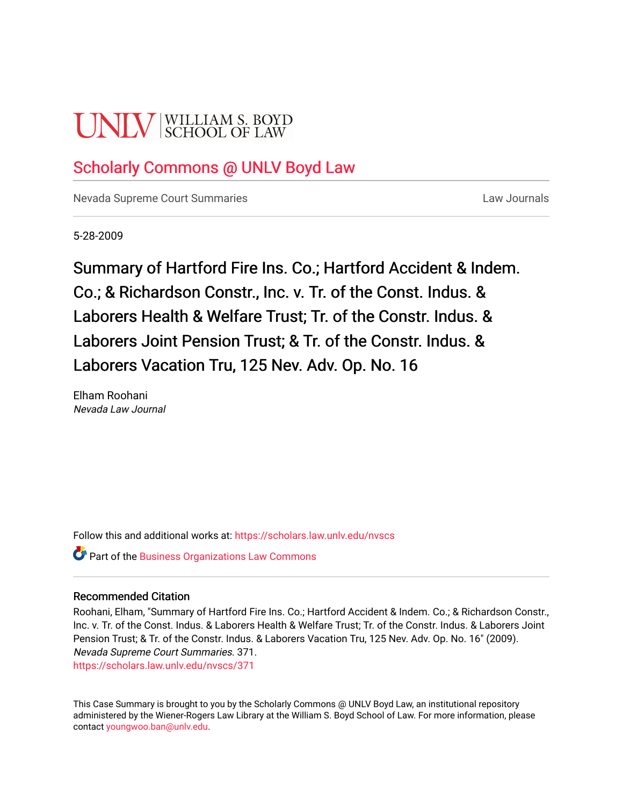# **UNIV** SCHOOL OF LAW

# [Scholarly Commons @ UNLV Boyd Law](https://scholars.law.unlv.edu/)

[Nevada Supreme Court Summaries](https://scholars.law.unlv.edu/nvscs) **Law Journals** Law Journals

5-28-2009

Summary of Hartford Fire Ins. Co.; Hartford Accident & Indem. Co.; & Richardson Constr., Inc. v. Tr. of the Const. Indus. & Laborers Health & Welfare Trust; Tr. of the Constr. Indus. & Laborers Joint Pension Trust; & Tr. of the Constr. Indus. & Laborers Vacation Tru, 125 Nev. Adv. Op. No. 16

Elham Roohani Nevada Law Journal

Follow this and additional works at: [https://scholars.law.unlv.edu/nvscs](https://scholars.law.unlv.edu/nvscs?utm_source=scholars.law.unlv.edu%2Fnvscs%2F371&utm_medium=PDF&utm_campaign=PDFCoverPages)

**Part of the [Business Organizations Law Commons](http://network.bepress.com/hgg/discipline/900?utm_source=scholars.law.unlv.edu%2Fnvscs%2F371&utm_medium=PDF&utm_campaign=PDFCoverPages)** 

#### Recommended Citation

Roohani, Elham, "Summary of Hartford Fire Ins. Co.; Hartford Accident & Indem. Co.; & Richardson Constr., Inc. v. Tr. of the Const. Indus. & Laborers Health & Welfare Trust; Tr. of the Constr. Indus. & Laborers Joint Pension Trust; & Tr. of the Constr. Indus. & Laborers Vacation Tru, 125 Nev. Adv. Op. No. 16" (2009). Nevada Supreme Court Summaries. 371.

[https://scholars.law.unlv.edu/nvscs/371](https://scholars.law.unlv.edu/nvscs/371?utm_source=scholars.law.unlv.edu%2Fnvscs%2F371&utm_medium=PDF&utm_campaign=PDFCoverPages)

This Case Summary is brought to you by the Scholarly Commons @ UNLV Boyd Law, an institutional repository administered by the Wiener-Rogers Law Library at the William S. Boyd School of Law. For more information, please contact [youngwoo.ban@unlv.edu](mailto:youngwoo.ban@unlv.edu).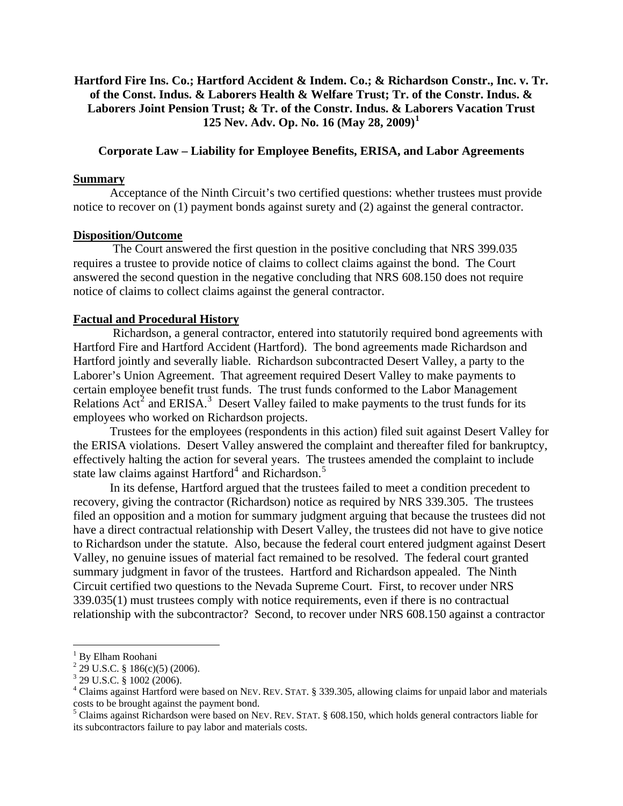## **Hartford Fire Ins. Co.; Hartford Accident & Indem. Co.; & Richardson Constr., Inc. v. Tr. of the Const. Indus. & Laborers Health & Welfare Trust; Tr. of the Constr. Indus. & Laborers Joint Pension Trust; & Tr. of the Constr. Indus. & Laborers Vacation Trust 125 Nev. Adv. Op. No. 16 (May 28, 2009)[1](#page-1-0)**

### **Corporate Law – Liability for Employee Benefits, ERISA, and Labor Agreements**

#### **Summary**

 Acceptance of the Ninth Circuit's two certified questions: whether trustees must provide notice to recover on (1) payment bonds against surety and (2) against the general contractor.

#### **Disposition/Outcome**

 The Court answered the first question in the positive concluding that NRS 399.035 requires a trustee to provide notice of claims to collect claims against the bond. The Court answered the second question in the negative concluding that NRS 608.150 does not require notice of claims to collect claims against the general contractor.

#### **Factual and Procedural History**

 Richardson, a general contractor, entered into statutorily required bond agreements with Hartford Fire and Hartford Accident (Hartford). The bond agreements made Richardson and Hartford jointly and severally liable. Richardson subcontracted Desert Valley, a party to the Laborer's Union Agreement. That agreement required Desert Valley to make payments to certain employee benefit trust funds. The trust funds conformed to the Labor Management Relations  $\text{Act}^2$  $\text{Act}^2$  and ERISA.<sup>[3](#page-1-2)</sup> Desert Valley failed to make payments to the trust funds for its employees who worked on Richardson projects.

 Trustees for the employees (respondents in this action) filed suit against Desert Valley for the ERISA violations. Desert Valley answered the complaint and thereafter filed for bankruptcy, effectively halting the action for several years. The trustees amended the complaint to include state law claims against Hartford<sup>[4](#page-1-3)</sup> and Richardson.<sup>[5](#page-1-4)</sup>

 In its defense, Hartford argued that the trustees failed to meet a condition precedent to recovery, giving the contractor (Richardson) notice as required by NRS 339.305. The trustees filed an opposition and a motion for summary judgment arguing that because the trustees did not have a direct contractual relationship with Desert Valley, the trustees did not have to give notice to Richardson under the statute. Also, because the federal court entered judgment against Desert Valley, no genuine issues of material fact remained to be resolved. The federal court granted summary judgment in favor of the trustees. Hartford and Richardson appealed. The Ninth Circuit certified two questions to the Nevada Supreme Court. First, to recover under NRS 339.035(1) must trustees comply with notice requirements, even if there is no contractual relationship with the subcontractor? Second, to recover under NRS 608.150 against a contractor

 $\overline{a}$ 

<span id="page-1-0"></span><sup>&</sup>lt;sup>1</sup> By Elham Roohani

<span id="page-1-1"></span> $2^{2}$  29 U.S.C. § 186(c)(5) (2006).

<sup>3</sup> 29 U.S.C. § 1002 (2006).

<span id="page-1-3"></span><span id="page-1-2"></span><sup>&</sup>lt;sup>4</sup> Claims against Hartford were based on NEV. REV. STAT. § 339.305, allowing claims for unpaid labor and materials

<span id="page-1-4"></span>costs to be brought against the payment bond. 5 Claims against Richardson were based on NEV. REV. STAT. § 608.150, which holds general contractors liable for its subcontractors failure to pay labor and materials costs.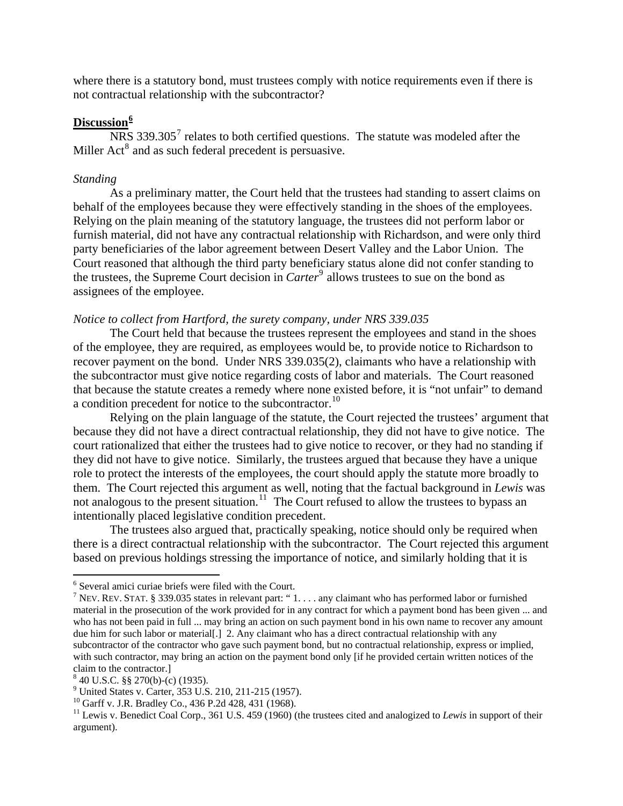where there is a statutory bond, must trustees comply with notice requirements even if there is not contractual relationship with the subcontractor?

#### **Discussion[6](#page-2-0)**

 $NRS$  339.305<sup>[7](#page-2-1)</sup> relates to both certified questions. The statute was modeled after the Miller Act<sup>[8](#page-2-2)</sup> and as such federal precedent is persuasive.

#### *Standing*

As a preliminary matter, the Court held that the trustees had standing to assert claims on behalf of the employees because they were effectively standing in the shoes of the employees. Relying on the plain meaning of the statutory language, the trustees did not perform labor or furnish material, did not have any contractual relationship with Richardson, and were only third party beneficiaries of the labor agreement between Desert Valley and the Labor Union. The Court reasoned that although the third party beneficiary status alone did not confer standing to the trustees, the Supreme Court decision in *Carter*<sup>[9](#page-2-3)</sup> allows trustees to sue on the bond as assignees of the employee.

#### *Notice to collect from Hartford, the surety company, under NRS 339.035*

 The Court held that because the trustees represent the employees and stand in the shoes of the employee, they are required, as employees would be, to provide notice to Richardson to recover payment on the bond. Under NRS 339.035(2), claimants who have a relationship with the subcontractor must give notice regarding costs of labor and materials. The Court reasoned that because the statute creates a remedy where none existed before, it is "not unfair" to demand a condition precedent for notice to the subcontractor.<sup>[10](#page-2-4)</sup>

Relying on the plain language of the statute, the Court rejected the trustees' argument that because they did not have a direct contractual relationship, they did not have to give notice. The court rationalized that either the trustees had to give notice to recover, or they had no standing if they did not have to give notice. Similarly, the trustees argued that because they have a unique role to protect the interests of the employees, the court should apply the statute more broadly to them. The Court rejected this argument as well, noting that the factual background in *Lewis* was not analogous to the present situation.<sup>[11](#page-2-5)</sup> The Court refused to allow the trustees to bypass an intentionally placed legislative condition precedent.

The trustees also argued that, practically speaking, notice should only be required when there is a direct contractual relationship with the subcontractor. The Court rejected this argument based on previous holdings stressing the importance of notice, and similarly holding that it is

 $\overline{a}$ 

<span id="page-2-0"></span><sup>6</sup> Several amici curiae briefs were filed with the Court.

<span id="page-2-1"></span><sup>&</sup>lt;sup>7</sup> NEV. REV. STAT. § 339.035 states in relevant part: "1... any claimant who has performed labor or furnished material in the prosecution of the work provided for in any contract for which a payment bond has been given ... and who has not been paid in full ... may bring an action on such payment bond in his own name to recover any amount due him for such labor or material[.] 2. Any claimant who has a direct contractual relationship with any subcontractor of the contractor who gave such payment bond, but no contractual relationship, express or implied, with such contractor, may bring an action on the payment bond only [if he provided certain written notices of the claim to the contractor.]

<span id="page-2-2"></span> $840$  U.S.C. §§ 270(b)-(c) (1935).

<span id="page-2-3"></span><sup>&</sup>lt;sup>9</sup> United States v. Carter, 353 U.S. 210, 211-215 (1957).

<span id="page-2-4"></span><sup>&</sup>lt;sup>10</sup> Garff v. J.R. Bradley Co., 436 P.2d 428, 431 (1968).

<span id="page-2-5"></span><sup>&</sup>lt;sup>11</sup> Lewis v. Benedict Coal Corp., 361 U.S. 459 (1960) (the trustees cited and analogized to *Lewis* in support of their argument).